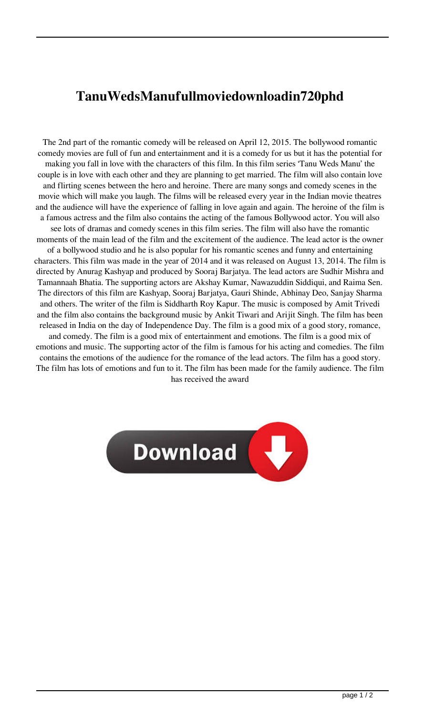## **TanuWedsManufullmoviedownloadin720phd**

The 2nd part of the romantic comedy will be released on April 12, 2015. The bollywood romantic comedy movies are full of fun and entertainment and it is a comedy for us but it has the potential for making you fall in love with the characters of this film. In this film series 'Tanu Weds Manu' the couple is in love with each other and they are planning to get married. The film will also contain love and flirting scenes between the hero and heroine. There are many songs and comedy scenes in the movie which will make you laugh. The films will be released every year in the Indian movie theatres and the audience will have the experience of falling in love again and again. The heroine of the film is a famous actress and the film also contains the acting of the famous Bollywood actor. You will also see lots of dramas and comedy scenes in this film series. The film will also have the romantic moments of the main lead of the film and the excitement of the audience. The lead actor is the owner of a bollywood studio and he is also popular for his romantic scenes and funny and entertaining characters. This film was made in the year of 2014 and it was released on August 13, 2014. The film is directed by Anurag Kashyap and produced by Sooraj Barjatya. The lead actors are Sudhir Mishra and Tamannaah Bhatia. The supporting actors are Akshay Kumar, Nawazuddin Siddiqui, and Raima Sen. The directors of this film are Kashyap, Sooraj Barjatya, Gauri Shinde, Abhinay Deo, Sanjay Sharma and others. The writer of the film is Siddharth Roy Kapur. The music is composed by Amit Trivedi and the film also contains the background music by Ankit Tiwari and Arijit Singh. The film has been released in India on the day of Independence Day. The film is a good mix of a good story, romance, and comedy. The film is a good mix of entertainment and emotions. The film is a good mix of emotions and music. The supporting actor of the film is famous for his acting and comedies. The film contains the emotions of the audience for the romance of the lead actors. The film has a good story. The film has lots of emotions and fun to it. The film has been made for the family audience. The film has received the award